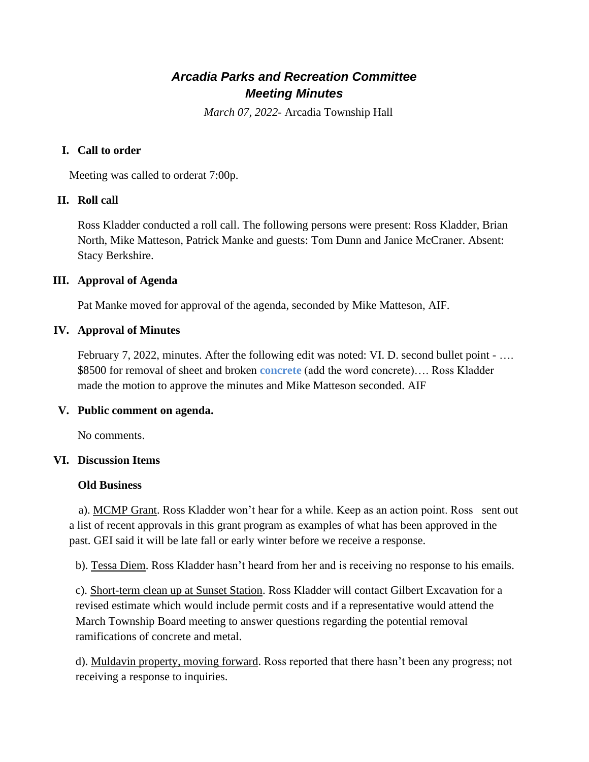# *Arcadia Parks and Recreation Committee Meeting Minutes*

*March 07, 2022*- Arcadia Township Hall

# **I. Call to order**

Meeting was called to orderat 7:00p.

## **II. Roll call**

Ross Kladder conducted a roll call. The following persons were present: Ross Kladder, Brian North, Mike Matteson, Patrick Manke and guests: Tom Dunn and Janice McCraner. Absent: Stacy Berkshire.

## **III. Approval of Agenda**

Pat Manke moved for approval of the agenda, seconded by Mike Matteson, AIF.

## **IV. Approval of Minutes**

February 7, 2022, minutes. After the following edit was noted: VI. D. second bullet point - ... \$8500 for removal of sheet and broken **concrete** (add the word concrete)…. Ross Kladder made the motion to approve the minutes and Mike Matteson seconded. AIF

#### **V. Public comment on agenda.**

No comments.

#### **VI. Discussion Items**

#### **Old Business**

a). MCMP Grant. Ross Kladder won't hear for a while. Keep as an action point. Ross sent out a list of recent approvals in this grant program as examples of what has been approved in the past. GEI said it will be late fall or early winter before we receive a response.

b). Tessa Diem. Ross Kladder hasn't heard from her and is receiving no response to his emails.

c). Short-term clean up at Sunset Station. Ross Kladder will contact Gilbert Excavation for a revised estimate which would include permit costs and if a representative would attend the March Township Board meeting to answer questions regarding the potential removal ramifications of concrete and metal.

d). Muldavin property, moving forward. Ross reported that there hasn't been any progress; not receiving a response to inquiries.